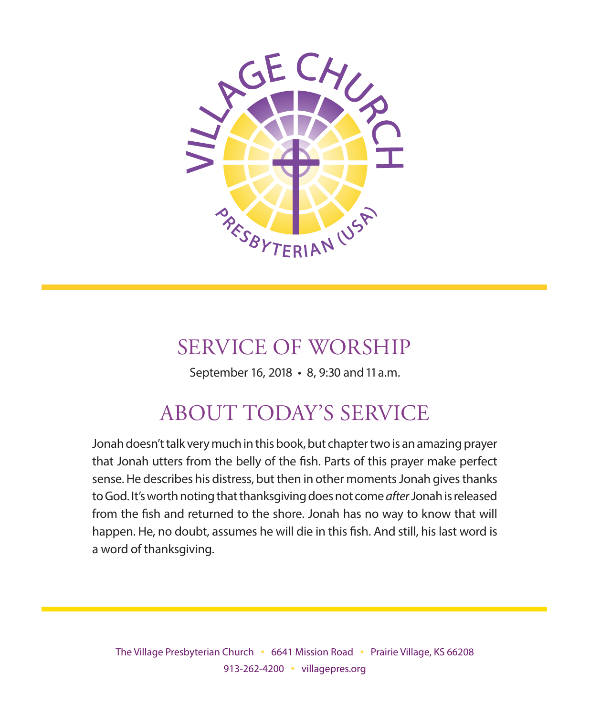

# SERVICE OF WORSHIP

September 16, 2018 • 8, 9:30 and 11 a.m.

# ABOUT TODAY'S SERVICE

Jonah doesn't talk very much in this book, but chapter two is an amazing prayer that Jonah utters from the belly of the fish. Parts of this prayer make perfect sense. He describes his distress, but then in other moments Jonah gives thanks to God. It's worth noting that thanksgiving does not come *after* Jonah is released from the fish and returned to the shore. Jonah has no way to know that will happen. He, no doubt, assumes he will die in this fish. And still, his last word is a word of thanksgiving.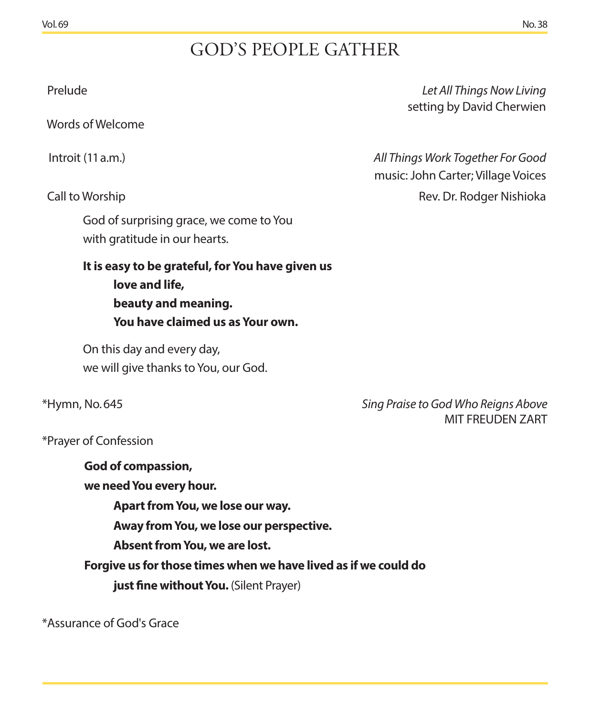# GOD'S PEOPLE GATHER

Words of Welcome

God of surprising grace, we come to You with gratitude in our hearts.

**It is easy to be grateful, for You have given us love and life, beauty and meaning. You have claimed us as Your own.** 

On this day and every day, we will give thanks to You, our God.

\*Hymn, No. 645 *Sing Praise to God Who Reigns Above* MIT FREUDEN ZART

\*Prayer of Confession

**God of compassion, we need You every hour. Apart from You, we lose our way. Away from You, we lose our perspective. Absent from You, we are lost. Forgive us for those times when we have lived as if we could do just fine without You.** (Silent Prayer)

\*Assurance of God's Grace

 Prelude *Let All Things Now Living* setting by David Cherwien

Introit (11 a.m.) *All Things Work Together For Good* music: John Carter; Village Voices Call to Worship Rev. Dr. Rodger Nishioka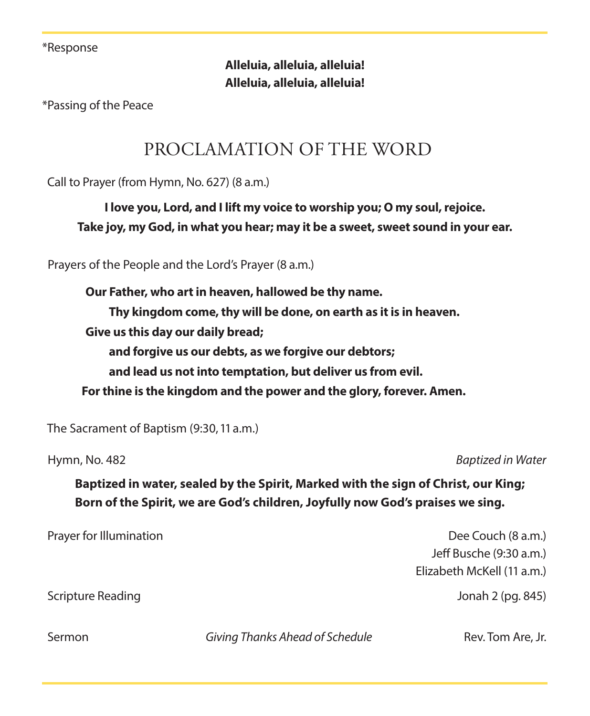\*Response

**Alleluia, alleluia, alleluia! Alleluia, alleluia, alleluia!**

\*Passing of the Peace

## PROCLAMATION OF THE WORD

Call to Prayer (from Hymn, No. 627) (8 a.m.)

**I love you, Lord, and I lift my voice to worship you; O my soul, rejoice. Take joy, my God, in what you hear; may it be a sweet, sweet sound in your ear.** 

Prayers of the People and the Lord's Prayer (8 a.m.)

**Our Father, who art in heaven, hallowed be thy name. Thy kingdom come, thy will be done, on earth as it is in heaven. Give us this day our daily bread; and forgive us our debts, as we forgive our debtors; and lead us not into temptation, but deliver us from evil. For thine is the kingdom and the power and the glory, forever. Amen.**

The Sacrament of Baptism (9:30, 11 a.m.)

Hymn, No. 482 *Baptized in Water*

**Baptized in water, sealed by the Spirit, Marked with the sign of Christ, our King; Born of the Spirit, we are God's children, Joyfully now God's praises we sing.**

Prayer for Illumination **Dee Couch (8 a.m.)** Dee Couch (8 a.m.)

Jeff Busche (9:30 a.m.) Elizabeth McKell (11 a.m.)

Scripture Reading Jonah 2 (pg. 845)

Sermon **Example 3 Communist Communist Communist Communist Communist Communist Communist Communist Communist Communist Communist Communist Communist Communist Communist Communist Communist Communist Communist Communist Comm**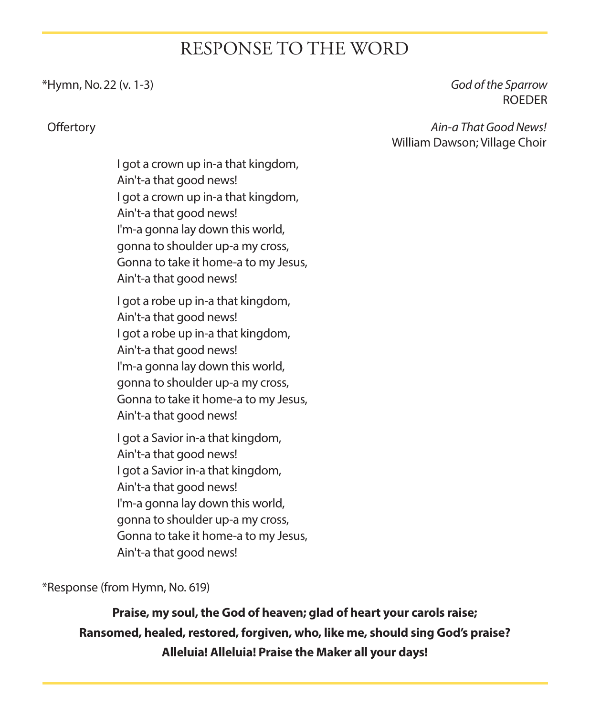## RESPONSE TO THE WORD

#### \*Hymn, No. 22 (v. 1-3) *God of the Sparrow*

ROEDER

 Offertory *Ain-a That Good News!*  William Dawson; Village Choir

> I got a crown up in-a that kingdom, Ain't-a that good news! I got a crown up in-a that kingdom, Ain't-a that good news! I'm-a gonna lay down this world, gonna to shoulder up-a my cross, Gonna to take it home-a to my Jesus, Ain't-a that good news!

> I got a robe up in-a that kingdom, Ain't-a that good news! I got a robe up in-a that kingdom, Ain't-a that good news! I'm-a gonna lay down this world, gonna to shoulder up-a my cross, Gonna to take it home-a to my Jesus, Ain't-a that good news!

> I got a Savior in-a that kingdom, Ain't-a that good news! I got a Savior in-a that kingdom, Ain't-a that good news! I'm-a gonna lay down this world, gonna to shoulder up-a my cross, Gonna to take it home-a to my Jesus, Ain't-a that good news!

\*Response (from Hymn, No. 619)

**Praise, my soul, the God of heaven; glad of heart your carols raise; Ransomed, healed, restored, forgiven, who, like me, should sing God's praise? Alleluia! Alleluia! Praise the Maker all your days!**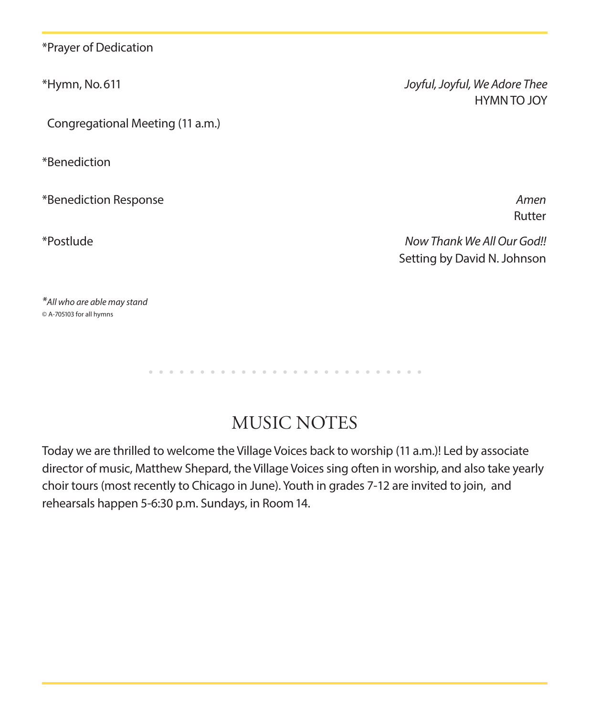\*Prayer of Dedication

Congregational Meeting (11 a.m.)

\*Benediction

\*Benediction Response *Amen*

\*Hymn, No. 611 *Joyful, Joyful, We Adore Thee* HYMN TO JOY

Rutter

\*Postlude *Now Thank We All Our God!!* Setting by David N. Johnson

*\*All who are able may stand* © A-705103 for all hymns

> . . . . . . . . . . . . . . .

## MUSIC NOTES

Today we are thrilled to welcome the Village Voices back to worship (11 a.m.)! Led by associate director of music, Matthew Shepard, the Village Voices sing often in worship, and also take yearly choir tours (most recently to Chicago in June). Youth in grades 7-12 are invited to join, and rehearsals happen 5-6:30 p.m. Sundays, in Room 14.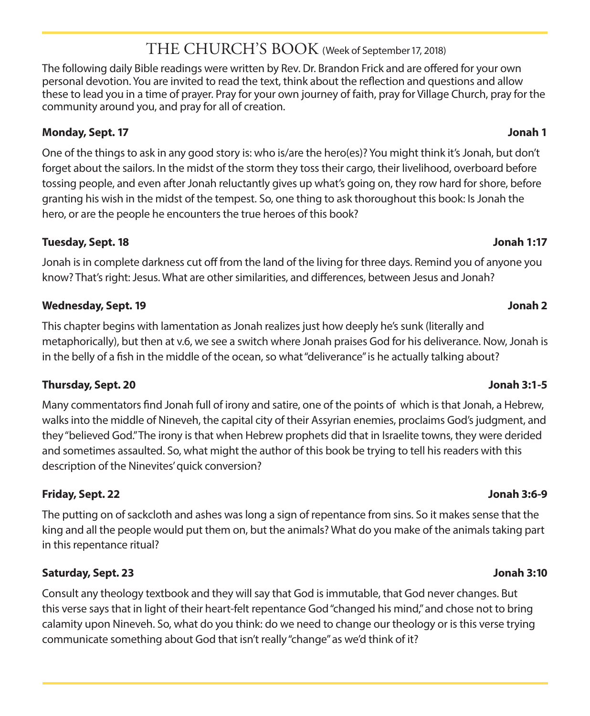#### THE CHURCH'S BOOK (Week of September 17, 2018)

The following daily Bible readings were written by Rev. Dr. Brandon Frick and are offered for your own personal devotion. You are invited to read the text, think about the reflection and questions and allow these to lead you in a time of prayer. Pray for your own journey of faith, pray for Village Church, pray for the community around you, and pray for all of creation.

#### **Monday, Sept. 17 Jonah 1**

One of the things to ask in any good story is: who is/are the hero(es)? You might think it's Jonah, but don't forget about the sailors. In the midst of the storm they toss their cargo, their livelihood, overboard before tossing people, and even after Jonah reluctantly gives up what's going on, they row hard for shore, before granting his wish in the midst of the tempest. So, one thing to ask thoroughout this book: Is Jonah the hero, or are the people he encounters the true heroes of this book?

#### **Tuesday, Sept. 18 Jonah 1:17**

Jonah is in complete darkness cut off from the land of the living for three days. Remind you of anyone you know? That's right: Jesus. What are other similarities, and differences, between Jesus and Jonah?

#### **Wednesday, Sept. 19 Jonah 2**

This chapter begins with lamentation as Jonah realizes just how deeply he's sunk (literally and metaphorically), but then at v.6, we see a switch where Jonah praises God for his deliverance. Now, Jonah is in the belly of a fish in the middle of the ocean, so what "deliverance" is he actually talking about?

#### **Thursday, Sept. 20 Jonah 3:1-5**

Many commentators find Jonah full of irony and satire, one of the points of which is that Jonah, a Hebrew, walks into the middle of Nineveh, the capital city of their Assyrian enemies, proclaims God's judgment, and they "believed God." The irony is that when Hebrew prophets did that in Israelite towns, they were derided and sometimes assaulted. So, what might the author of this book be trying to tell his readers with this description of the Ninevites' quick conversion?

#### **Friday, Sept. 22 Jonah 3:6-9**

The putting on of sackcloth and ashes was long a sign of repentance from sins. So it makes sense that the king and all the people would put them on, but the animals? What do you make of the animals taking part in this repentance ritual?

#### **Saturday, Sept. 23 Jonah 3:10**

Consult any theology textbook and they will say that God is immutable, that God never changes. But this verse says that in light of their heart-felt repentance God "changed his mind," and chose not to bring calamity upon Nineveh. So, what do you think: do we need to change our theology or is this verse trying communicate something about God that isn't really "change" as we'd think of it?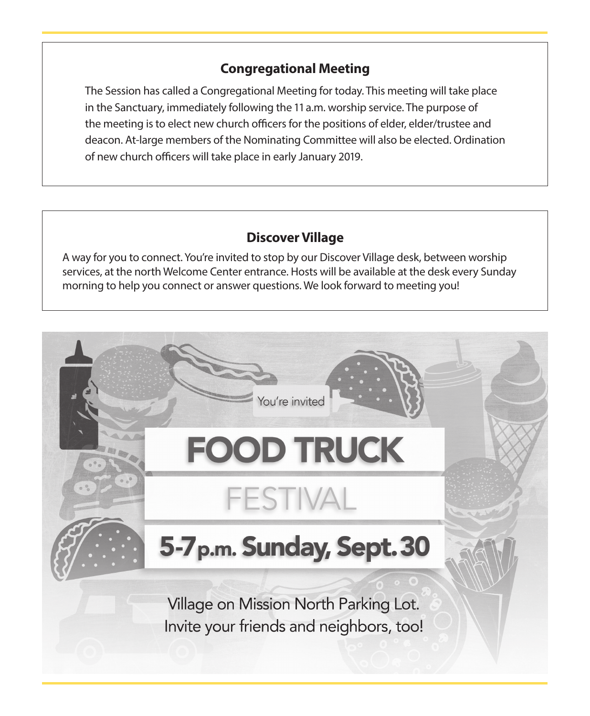#### **Congregational Meeting**

The Session has called a Congregational Meeting for today. This meeting will take place in the Sanctuary, immediately following the 11 a.m. worship service. The purpose of the meeting is to elect new church officers for the positions of elder, elder/trustee and deacon. At-large members of the Nominating Committee will also be elected. Ordination of new church officers will take place in early January 2019.

#### **Discover Village**

A way for you to connect. You're invited to stop by our Discover Village desk, between worship services, at the north Welcome Center entrance. Hosts will be available at the desk every Sunday morning to help you connect or answer questions. We look forward to meeting you!

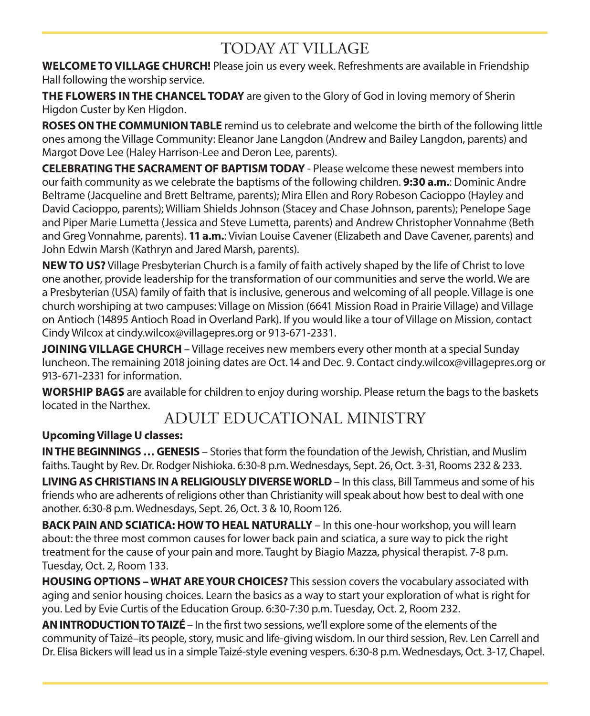## TODAY AT VILLAGE

**WELCOME TO VILLAGE CHURCH!** Please join us every week. Refreshments are available in Friendship Hall following the worship service.

**THE FLOWERS IN THE CHANCEL TODAY** are given to the Glory of God in loving memory of Sherin Higdon Custer by Ken Higdon.

**ROSES ON THE COMMUNION TABLE** remind us to celebrate and welcome the birth of the following little ones among the Village Community: Eleanor Jane Langdon (Andrew and Bailey Langdon, parents) and Margot Dove Lee (Haley Harrison-Lee and Deron Lee, parents).

**CELEBRATING THE SACRAMENT OF BAPTISM TODAY** - Please welcome these newest members into our faith community as we celebrate the baptisms of the following children. **9:30 a.m.**: Dominic Andre Beltrame (Jacqueline and Brett Beltrame, parents); Mira Ellen and Rory Robeson Cacioppo (Hayley and David Cacioppo, parents); William Shields Johnson (Stacey and Chase Johnson, parents); Penelope Sage and Piper Marie Lumetta (Jessica and Steve Lumetta, parents) and Andrew Christopher Vonnahme (Beth and Greg Vonnahme, parents). **11 a.m.**: Vivian Louise Cavener (Elizabeth and Dave Cavener, parents) and John Edwin Marsh (Kathryn and Jared Marsh, parents).

**NEW TO US?** Village Presbyterian Church is a family of faith actively shaped by the life of Christ to love one another, provide leadership for the transformation of our communities and serve the world. We are a Presbyterian (USA) family of faith that is inclusive, generous and welcoming of all people. Village is one church worshiping at two campuses: Village on Mission (6641 Mission Road in Prairie Village) and Village on Antioch (14895 Antioch Road in Overland Park). If you would like a tour of Village on Mission, contact Cindy Wilcox at cindy.wilcox@villagepres.org or 913-671-2331.

**JOINING VILLAGE CHURCH** – Village receives new members every other month at a special Sunday luncheon. The remaining 2018 joining dates are Oct. 14 and Dec. 9. Contact cindy.wilcox@villagepres.org or 913-671-2331 for information.

**WORSHIP BAGS** are available for children to enjoy during worship. Please return the bags to the baskets located in the Narthex.

## ADULT EDUCATIONAL MINISTRY

#### **Upcoming Village U classes:**

**IN THE BEGINNINGS … GENESIS** – Stories that form the foundation of the Jewish, Christian, and Muslim faiths. Taught by Rev. Dr. Rodger Nishioka. 6:30-8 p.m. Wednesdays, Sept. 26, Oct. 3-31, Rooms 232 & 233.

**LIVING AS CHRISTIANS IN A RELIGIOUSLY DIVERSE WORLD**– In this class, Bill Tammeus and some of his friends who are adherents of religions other than Christianity will speak about how best to deal with one another. 6:30-8 p.m. Wednesdays, Sept. 26, Oct. 3 & 10, Room 126.

**BACK PAIN AND SCIATICA: HOW TO HEAL NATURALLY** – In this one-hour workshop, you will learn about: the three most common causes for lower back pain and sciatica, a sure way to pick the right treatment for the cause of your pain and more. Taught by Biagio Mazza, physical therapist. 7-8 p.m. Tuesday, Oct. 2, Room 133.

**HOUSING OPTIONS – WHAT ARE YOUR CHOICES?** This session covers the vocabulary associated with aging and senior housing choices. Learn the basics as a way to start your exploration of what is right for you. Led by Evie Curtis of the Education Group. 6:30-7:30 p.m. Tuesday, Oct. 2, Room 232.

**AN INTRODUCTION TO TAIZÉ** – In the first two sessions, we'll explore some of the elements of the community of Taizé–its people, story, music and life-giving wisdom. In our third session, Rev. Len Carrell and Dr. Elisa Bickers will lead us in a simple Taizé-style evening vespers. 6:30-8 p.m. Wednesdays, Oct. 3-17, Chapel.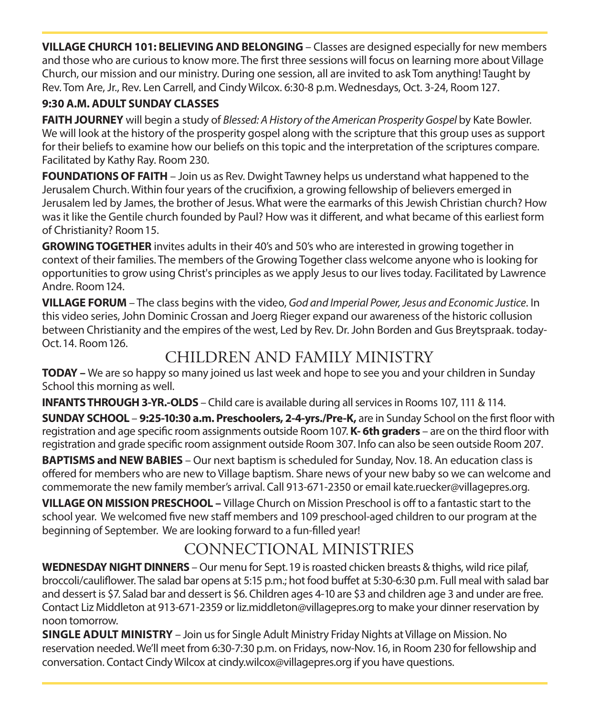**VILLAGE CHURCH 101: BELIEVING AND BELONGING** – Classes are designed especially for new members and those who are curious to know more. The first three sessions will focus on learning more about Village Church, our mission and our ministry. During one session, all are invited to ask Tom anything! Taught by Rev. Tom Are, Jr., Rev. Len Carrell, and Cindy Wilcox. 6:30-8 p.m. Wednesdays, Oct. 3-24, Room 127.

#### **9:30 A.M. ADULT SUNDAY CLASSES**

**FAITH JOURNEY** will begin a study of *Blessed: A History of the American Prosperity Gospel* by Kate Bowler. We will look at the history of the prosperity gospel along with the scripture that this group uses as support for their beliefs to examine how our beliefs on this topic and the interpretation of the scriptures compare. Facilitated by Kathy Ray. Room 230.

**FOUNDATIONS OF FAITH** – Join us as Rev. Dwight Tawney helps us understand what happened to the Jerusalem Church. Within four years of the crucifixion, a growing fellowship of believers emerged in Jerusalem led by James, the brother of Jesus. What were the earmarks of this Jewish Christian church? How was it like the Gentile church founded by Paul? How was it different, and what became of this earliest form of Christianity? Room 15.

**GROWING TOGETHER** invites adults in their 40's and 50's who are interested in growing together in context of their families. The members of the Growing Together class welcome anyone who is looking for opportunities to grow using Christ's principles as we apply Jesus to our lives today. Facilitated by Lawrence Andre. Room 124.

**VILLAGE FORUM** – The class begins with the video, *God and Imperial Power, Jesus and Economic Justice*. In this video series, John Dominic Crossan and Joerg Rieger expand our awareness of the historic collusion between Christianity and the empires of the west, Led by Rev. Dr. John Borden and Gus Breytspraak. today-Oct. 14. Room 126.

## CHILDREN AND FAMILY MINISTRY

**TODAY –** We are so happy so many joined us last week and hope to see you and your children in Sunday School this morning as well.

**INFANTS THROUGH 3-YR.-OLDS** – Child care is available during all services in Rooms 107, 111 & 114.

**SUNDAY SCHOOL** – **9:25-10:30 a.m. Preschoolers, 2-4-yrs./Pre-K,** are in Sunday School on the first floor with registration and age specific room assignments outside Room 107. **K- 6th graders** – are on the third floor with registration and grade specific room assignment outside Room 307. Info can also be seen outside Room 207.

**BAPTISMS and NEW BABIES** – Our next baptism is scheduled for Sunday, Nov. 18. An education class is offered for members who are new to Village baptism. Share news of your new baby so we can welcome and commemorate the new family member's arrival. Call 913-671-2350 or email kate.ruecker@villagepres.org.

**VILLAGE ON MISSION PRESCHOOL –** Village Church on Mission Preschool is off to a fantastic start to the school year. We welcomed five new staff members and 109 preschool-aged children to our program at the beginning of September. We are looking forward to a fun-filled year!

## CONNECTIONAL MINISTRIES

**WEDNESDAY NIGHT DINNERS** – Our menu for Sept. 19 is roasted chicken breasts & thighs, wild rice pilaf, broccoli/cauliflower. The salad bar opens at 5:15 p.m.; hot food buffet at 5:30-6:30 p.m. Full meal with salad bar and dessert is \$7. Salad bar and dessert is \$6. Children ages 4-10 are \$3 and children age 3 and under are free. Contact Liz Middleton at 913-671-2359 or liz.middleton@villagepres.org to make your dinner reservation by noon tomorrow.

**SINGLE ADULT MINISTRY** – Join us for Single Adult Ministry Friday Nights at Village on Mission. No reservation needed. We'll meet from 6:30-7:30 p.m. on Fridays, now-Nov. 16, in Room 230 for fellowship and conversation. Contact Cindy Wilcox at cindy.wilcox@villagepres.org if you have questions.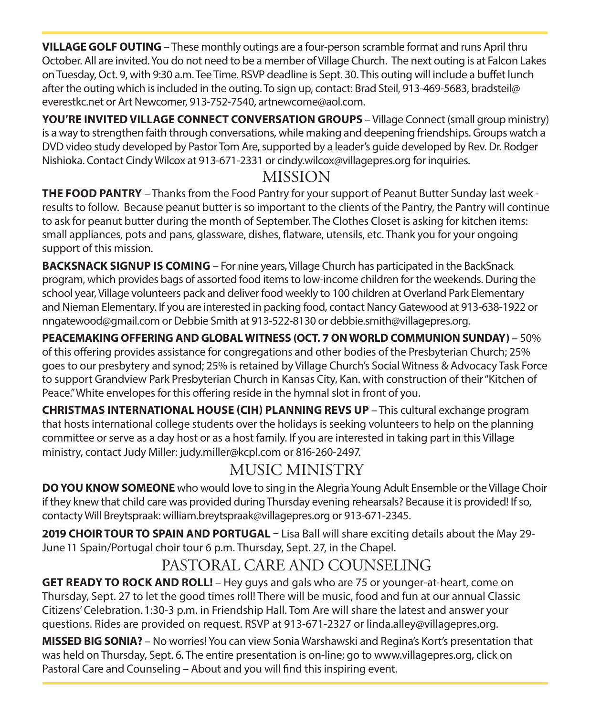**VILLAGE GOLF OUTING** – These monthly outings are a four-person scramble format and runs April thru October. All are invited. You do not need to be a member of Village Church. The next outing is at Falcon Lakes on Tuesday, Oct. 9, with 9:30 a.m. Tee Time. RSVP deadline is Sept. 30. This outing will include a buffet lunch after the outing which is included in the outing. To sign up, contact: Brad Steil, 913-469-5683, bradsteil@ everestkc.net or Art Newcomer, 913-752-7540, artnewcome@aol.com.

**YOU'RE INVITED VILLAGE CONNECT CONVERSATION GROUPS** – Village Connect (small group ministry) is a way to strengthen faith through conversations, while making and deepening friendships. Groups watch a DVD video study developed by Pastor Tom Are, supported by a leader's guide developed by Rev. Dr. Rodger Nishioka. Contact Cindy Wilcox at 913-671-2331 or cindy.wilcox@villagepres.org for inquiries.

## MISSION

**THE FOOD PANTRY** – Thanks from the Food Pantry for your support of Peanut Butter Sunday last week results to follow. Because peanut butter is so important to the clients of the Pantry, the Pantry will continue to ask for peanut butter during the month of September. The Clothes Closet is asking for kitchen items: small appliances, pots and pans, glassware, dishes, flatware, utensils, etc. Thank you for your ongoing support of this mission.

**BACKSNACK SIGNUP IS COMING** – For nine years, Village Church has participated in the BackSnack program, which provides bags of assorted food items to low-income children for the weekends. During the school year, Village volunteers pack and deliver food weekly to 100 children at Overland Park Elementary and Nieman Elementary. If you are interested in packing food, contact Nancy Gatewood at 913-638-1922 or nngatewood@gmail.com or Debbie Smith at 913-522-8130 or debbie.smith@villagepres.org.

**PEACEMAKING OFFERING AND GLOBAL WITNESS (OCT. 7 ON WORLD COMMUNION SUNDAY)** – 50% of this offering provides assistance for congregations and other bodies of the Presbyterian Church; 25% goes to our presbytery and synod; 25% is retained by Village Church's Social Witness & Advocacy Task Force to support Grandview Park Presbyterian Church in Kansas City, Kan. with construction of their "Kitchen of Peace." White envelopes for this offering reside in the hymnal slot in front of you.

**CHRISTMAS INTERNATIONAL HOUSE (CIH) PLANNING REVS UP** – This cultural exchange program that hosts international college students over the holidays is seeking volunteers to help on the planning committee or serve as a day host or as a host family. If you are interested in taking part in this Village ministry, contact Judy Miller: judy.miller@kcpl.com or 816-260-2497.

## MUSIC MINISTRY

**DO YOU KNOW SOMEONE** who would love to sing in the Alegrìa Young Adult Ensemble or the Village Choir if they knew that child care was provided during Thursday evening rehearsals? Because it is provided! If so, contacty Will Breytspraak: william.breytspraak@villagepres.org or 913-671-2345.

**2019 CHOIR TOUR TO SPAIN AND PORTUGAL** – Lisa Ball will share exciting details about the May 29- June 11 Spain/Portugal choir tour 6 p.m. Thursday, Sept. 27, in the Chapel.

## PASTORAL CARE AND COUNSELING

**GET READY TO ROCK AND ROLL!** – Hey guys and gals who are 75 or younger-at-heart, come on Thursday, Sept. 27 to let the good times roll! There will be music, food and fun at our annual Classic Citizens' Celebration. 1:30-3 p.m. in Friendship Hall. Tom Are will share the latest and answer your questions. Rides are provided on request. RSVP at 913-671-2327 or linda.alley@villagepres.org.

**MISSED BIG SONIA?** – No worries! You can view Sonia Warshawski and Regina's Kort's presentation that was held on Thursday, Sept. 6. The entire presentation is on-line; go to www.villagepres.org, click on Pastoral Care and Counseling – About and you will find this inspiring event.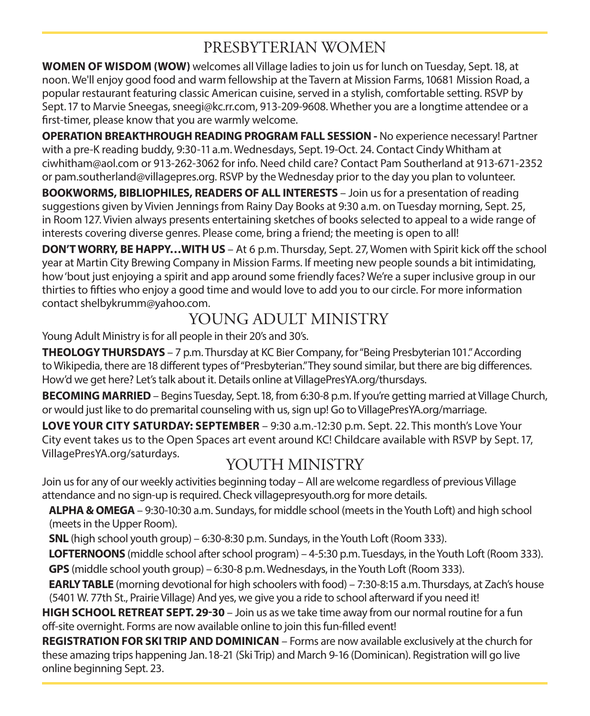## PRESBYTERIAN WOMEN

**WOMEN OF WISDOM (WOW)** welcomes all Village ladies to join us for lunch on Tuesday, Sept. 18, at noon. We'll enjoy good food and warm fellowship at the Tavern at Mission Farms, 10681 Mission Road, a popular restaurant featuring classic American cuisine, served in a stylish, comfortable setting. RSVP by Sept. 17 to Marvie Sneegas, sneegi@kc.rr.com, 913-209-9608. Whether you are a longtime attendee or a first-timer, please know that you are warmly welcome.

**OPERATION BREAKTHROUGH READING PROGRAM FALL SESSION -** No experience necessary! Partner with a pre-K reading buddy, 9:30-11 a.m. Wednesdays, Sept. 19-Oct. 24. Contact Cindy Whitham at ciwhitham@aol.com or 913-262-3062 for info. Need child care? Contact Pam Southerland at 913-671-2352 or pam.southerland@villagepres.org. RSVP by the Wednesday prior to the day you plan to volunteer.

**BOOKWORMS, BIBLIOPHILES, READERS OF ALL INTERESTS** – Join us for a presentation of reading suggestions given by Vivien Jennings from Rainy Day Books at 9:30 a.m. on Tuesday morning, Sept. 25, in Room 127. Vivien always presents entertaining sketches of books selected to appeal to a wide range of interests covering diverse genres. Please come, bring a friend; the meeting is open to all!

**DON'T WORRY, BE HAPPY…WITH US** – At 6 p.m. Thursday, Sept. 27, Women with Spirit kick off the school year at Martin City Brewing Company in Mission Farms. If meeting new people sounds a bit intimidating, how 'bout just enjoying a spirit and app around some friendly faces? We're a super inclusive group in our thirties to fifties who enjoy a good time and would love to add you to our circle. For more information contact shelbykrumm@yahoo.com.

## YOUNG ADULT MINISTRY

Young Adult Ministry is for all people in their 20's and 30's.

**THEOLOGY THURSDAYS** – 7 p.m. Thursday at KC Bier Company, for "Being Presbyterian 101." According to Wikipedia, there are 18 different types of "Presbyterian." They sound similar, but there are big differences. How'd we get here? Let's talk about it. Details online at VillagePresYA.org/thursdays.

**BECOMING MARRIED** – Begins Tuesday, Sept. 18, from 6:30-8 p.m. If you're getting married at Village Church, or would just like to do premarital counseling with us, sign up! Go to VillagePresYA.org/marriage.

**LOVE YOUR CITY SATURDAY: SEPTEMBER** – 9:30 a.m.-12:30 p.m. Sept. 22. This month's Love Your City event takes us to the Open Spaces art event around KC! Childcare available with RSVP by Sept. 17, VillagePresYA.org/saturdays.

## YOUTH MINISTRY

Join us for any of our weekly activities beginning today – All are welcome regardless of previous Village attendance and no sign-up is required. Check villagepresyouth.org for more details.

 **ALPHA & OMEGA** – 9:30-10:30 a.m. Sundays, for middle school (meets in the Youth Loft) and high school (meets in the Upper Room).

**SNL** (high school youth group) – 6:30-8:30 p.m. Sundays, in the Youth Loft (Room 333).

 **LOFTERNOONS** (middle school after school program) – 4-5:30 p.m. Tuesdays, in the Youth Loft (Room 333). **GPS** (middle school youth group) – 6:30-8 p.m. Wednesdays, in the Youth Loft (Room 333).

 **EARLY TABLE** (morning devotional for high schoolers with food) – 7:30-8:15 a.m. Thursdays, at Zach's house (5401 W. 77th St., Prairie Village) And yes, we give you a ride to school afterward if you need it!

**HIGH SCHOOL RETREAT SEPT. 29-30** – Join us as we take time away from our normal routine for a fun off-site overnight. Forms are now available online to join this fun-filled event!

**REGISTRATION FOR SKI TRIP AND DOMINICAN** – Forms are now available exclusively at the church for these amazing trips happening Jan. 18-21 (Ski Trip) and March 9-16 (Dominican). Registration will go live online beginning Sept. 23.